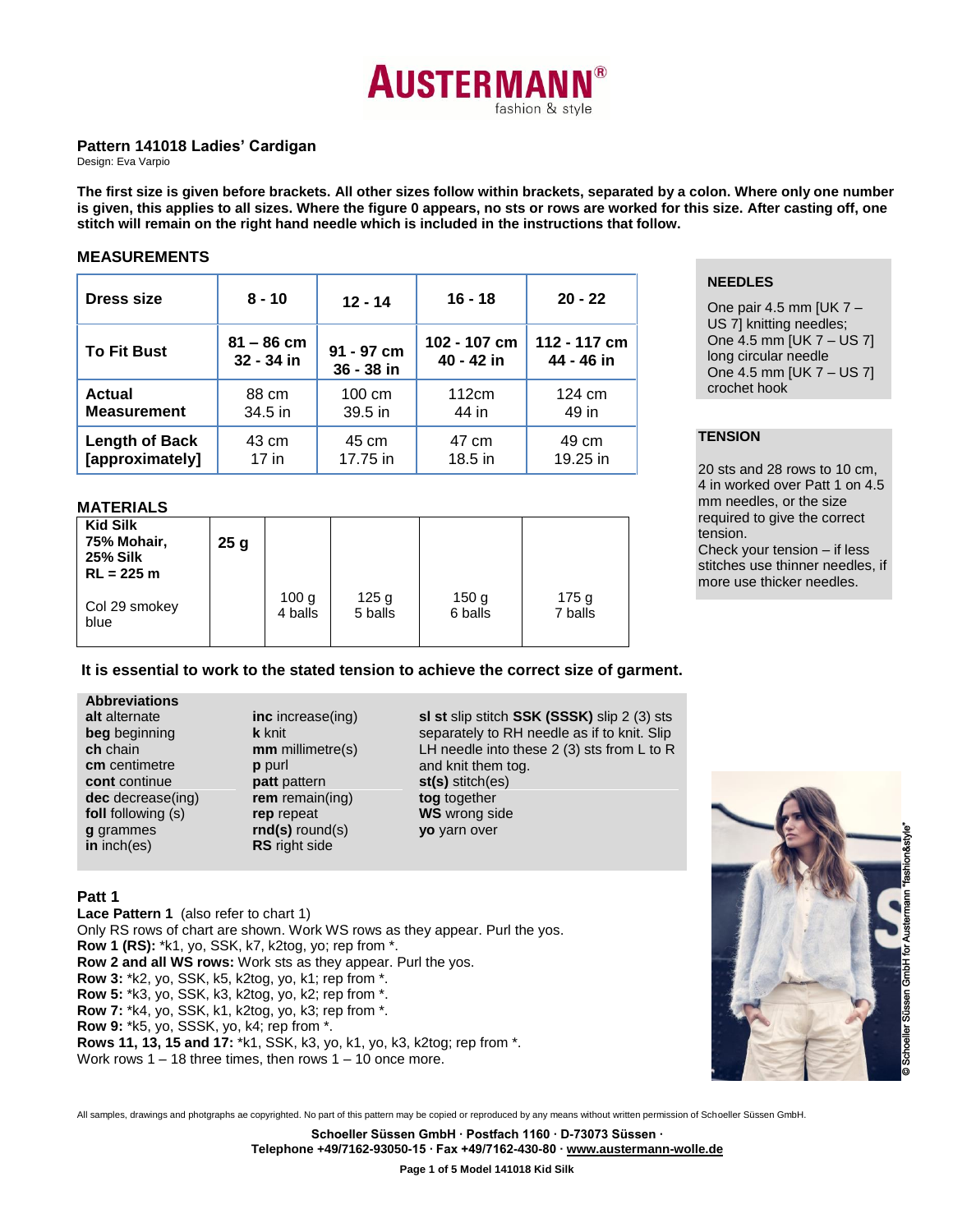

### **Pattern 141018 Ladies' Cardigan**

Design: Eva Varpio

**The first size is given before brackets. All other sizes follow within brackets, separated by a colon. Where only one number is given, this applies to all sizes. Where the figure 0 appears, no sts or rows are worked for this size. After casting off, one stitch will remain on the right hand needle which is included in the instructions that follow.**

## **MEASUREMENTS**

| Dress size            | $8 - 10$<br>$12 - 14$ |            | $16 - 18$    | $20 - 22$    |  |  |
|-----------------------|-----------------------|------------|--------------|--------------|--|--|
| <b>To Fit Bust</b>    | $81 - 86$ cm          | 91 - 97 cm | 102 - 107 cm | 112 - 117 cm |  |  |
|                       | 32 - 34 in            | 36 - 38 in | 40 - 42 in   | 44 - 46 in   |  |  |
| <b>Actual</b>         | 88 cm                 | 100 cm     | 112cm        | 124 cm       |  |  |
| <b>Measurement</b>    | 34.5 in               | 39.5 in    | 44 in        | 49 in        |  |  |
| <b>Length of Back</b> | 43 cm                 | 45 cm      | 47 cm        | 49 cm        |  |  |
| [approximately]       | $17$ in               | 17.75 in   | 18.5 in      | 19.25 in     |  |  |

## **NEEDLES**

One pair 4.5 mm [UK  $7 -$ US 7] knitting needles; One 4.5 mm [UK 7 – US 7] long circular needle One 4.5 mm [UK 7 – US 7] crochet hook

## **TENSION**

20 sts and 28 rows to 10 cm, 4 in worked over Patt 1 on 4.5 mm needles, or the size required to give the correct tension. Check your tension – if less stitches use thinner needles, if more use thicker needles.

## **MATERIALS**

| <b>Kid Silk</b><br>75% Mohair,<br><b>25% Silk</b><br>$RL = 225 m$ | 25 <sub>g</sub> |         |                  |                  |                  |
|-------------------------------------------------------------------|-----------------|---------|------------------|------------------|------------------|
| Col 29 smokey                                                     |                 | 100 g   | 125 <sub>g</sub> | 150 <sub>g</sub> | 175 <sub>g</sub> |
| blue                                                              |                 | 4 balls | 5 balls          | 6 balls          | 7 balls          |

#### **It is essential to work to the stated tension to achieve the correct size of garment.**

#### **Abbreviations alt** alternate

**ch** chain

**g** grammes **in** inch(es)

**beg** beginning **cm** centimetre **cont** continue **dec** decrease(ing) **foll** following (s) **inc** increase(ing) **k** knit **mm** millimetre(s) **p** purl **patt** pattern **rem** remain(ing) **rep** repeat **rnd(s)** round(s) **RS** right side

**sl st** slip stitch **SSK (SSSK)** slip 2 (3) sts separately to RH needle as if to knit. Slip LH needle into these 2 (3) sts from L to R and knit them tog. **st(s)** stitch(es) **tog** together **WS** wrong side **yo** yarn over



#### **Patt 1**

**Lace Pattern 1** (also refer to chart 1) Only RS rows of chart are shown. Work WS rows as they appear. Purl the yos. **Row 1 (RS):** \*k1, yo, SSK, k7, k2tog, yo; rep from \*. **Row 2 and all WS rows:** Work sts as they appear. Purl the yos. **Row 3:** \*k2, yo, SSK, k5, k2tog, yo, k1; rep from \*. **Row 5:** \*k3, yo, SSK, k3, k2tog, yo, k2; rep from \*. **Row 7:** \*k4, yo, SSK, k1, k2tog, yo, k3; rep from \*. **Row 9:** \*k5, yo, SSSK, yo, k4; rep from \*. **Rows 11, 13, 15 and 17:** \*k1, SSK, k3, yo, k1, yo, k3, k2tog; rep from \*. Work rows 1 – 18 three times, then rows 1 – 10 once more.

All samples, drawings and photgraphs ae copyrighted. No part of this pattern may be copied or reproduced by any means without written permission of Schoeller Süssen GmbH.

**Schoeller Süssen GmbH ∙ Postfach 1160 ∙ D-73073 Süssen ∙**

**Telephone +49/7162-93050-15 ∙ Fax +49/7162-430-80 [∙ www.austermann-wolle.de](http://www.austermann-wolle.de/)**

**Page 1 of 5 Model 141018 Kid Silk**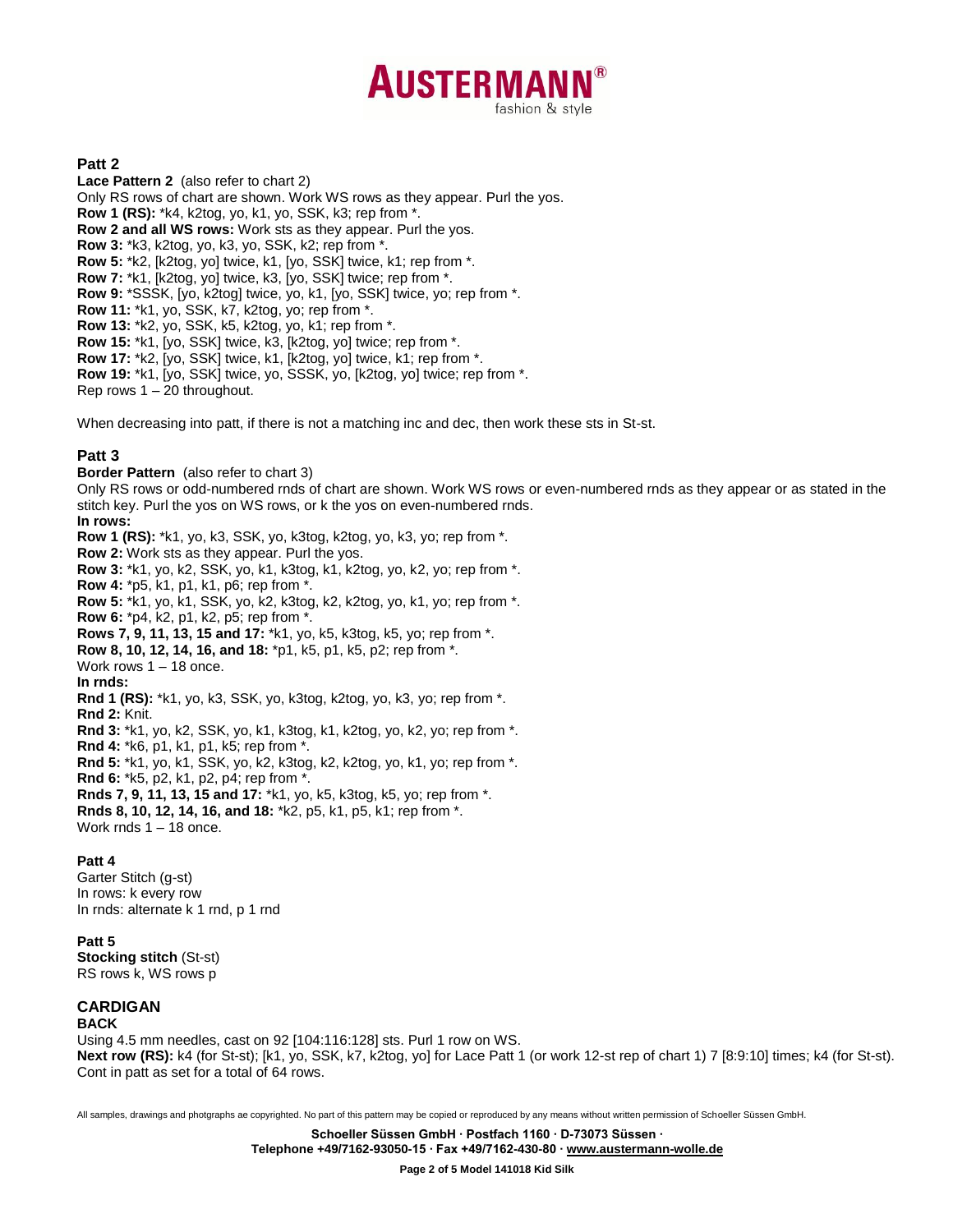# **AUSTERMANI** fashion & style

## **Patt 2**

**Lace Pattern 2** (also refer to chart 2) Only RS rows of chart are shown. Work WS rows as they appear. Purl the yos. **Row 1 (RS):** \*k4, k2tog, yo, k1, yo, SSK, k3; rep from \*. **Row 2 and all WS rows:** Work sts as they appear. Purl the yos. **Row 3:** \*k3, k2tog, yo, k3, yo, SSK, k2; rep from \*. **Row 5:** \*k2, [k2tog, yo] twice, k1, [yo, SSK] twice, k1; rep from \*. **Row 7:** \*k1, [k2tog, yo] twice, k3, [yo, SSK] twice; rep from \*. **Row 9:** \*SSSK, [yo, k2tog] twice, yo, k1, [yo, SSK] twice, yo; rep from \*. **Row 11:** \*k1, yo, SSK, k7, k2tog, yo; rep from \*. **Row 13:** \*k2, yo, SSK, k5, k2tog, yo, k1; rep from \*. **Row 15:** \*k1, [yo, SSK] twice, k3, [k2tog, yo] twice; rep from \*. **Row 17:** \*k2, [yo, SSK] twice, k1, [k2tog, yo] twice, k1; rep from \*. **Row 19:** \*k1, [yo, SSK] twice, yo, SSSK, yo, [k2tog, yo] twice; rep from \*. Rep rows 1 – 20 throughout.

When decreasing into patt, if there is not a matching inc and dec, then work these sts in St-st.

### **Patt 3**

**Border Pattern** (also refer to chart 3)

Only RS rows or odd-numbered rnds of chart are shown. Work WS rows or even-numbered rnds as they appear or as stated in the stitch key. Purl the yos on WS rows, or k the yos on even-numbered rnds.

#### **In rows:**

**Row 1 (RS):** \*k1, yo, k3, SSK, yo, k3tog, k2tog, yo, k3, yo; rep from \*. **Row 2:** Work sts as they appear. Purl the yos. **Row 3:** \*k1, yo, k2, SSK, yo, k1, k3tog, k1, k2tog, yo, k2, yo; rep from \*. **Row 4:** \*p5, k1, p1, k1, p6; rep from \*. **Row 5:** \*k1, yo, k1, SSK, yo, k2, k3tog, k2, k2tog, yo, k1, yo; rep from \*. **Row 6:** \*p4, k2, p1, k2, p5; rep from \*. **Rows 7, 9, 11, 13, 15 and 17:** \*k1, yo, k5, k3tog, k5, yo; rep from \*. **Row 8, 10, 12, 14, 16, and 18:** \*p1, k5, p1, k5, p2; rep from \*. Work rows 1 – 18 once. **In rnds: Rnd 1 (RS):** \*k1, yo, k3, SSK, yo, k3tog, k2tog, yo, k3, yo; rep from \*. **Rnd 2:** Knit. **Rnd 3:** \*k1, yo, k2, SSK, yo, k1, k3tog, k1, k2tog, yo, k2, yo; rep from \*. **Rnd 4:** \*k6, p1, k1, p1, k5; rep from \*. **Rnd 5:** \*k1, yo, k1, SSK, yo, k2, k3tog, k2, k2tog, yo, k1, yo; rep from \*. **Rnd 6:** \*k5, p2, k1, p2, p4; rep from \*. **Rnds 7, 9, 11, 13, 15 and 17:** \*k1, yo, k5, k3tog, k5, yo; rep from \*. **Rnds 8, 10, 12, 14, 16, and 18:** \*k2, p5, k1, p5, k1; rep from \*. Work rnds 1 – 18 once.

#### **Patt 4**

Garter Stitch (g-st) In rows: k every row In rnds: alternate k 1 rnd, p 1 rnd

#### **Patt 5**

**Stocking stitch** (St-st) RS rows k, WS rows p

## **CARDIGAN**

#### **BACK**

Using 4.5 mm needles, cast on 92 [104:116:128] sts. Purl 1 row on WS. **Next row (RS):** k4 (for St-st); [k1, yo, SSK, k7, k2tog, yo] for Lace Patt 1 (or work 12-st rep of chart 1) 7 [8:9:10] times; k4 (for St-st). Cont in patt as set for a total of 64 rows.

All samples, drawings and photgraphs ae copyrighted. No part of this pattern may be copied or reproduced by any means without written permission of Schoeller Süssen GmbH.

**Schoeller Süssen GmbH ∙ Postfach 1160 ∙ D-73073 Süssen ∙ Telephone +49/7162-93050-15 ∙ Fax +49/7162-430-80 [∙ www.austermann-wolle.de](http://www.austermann-wolle.de/)**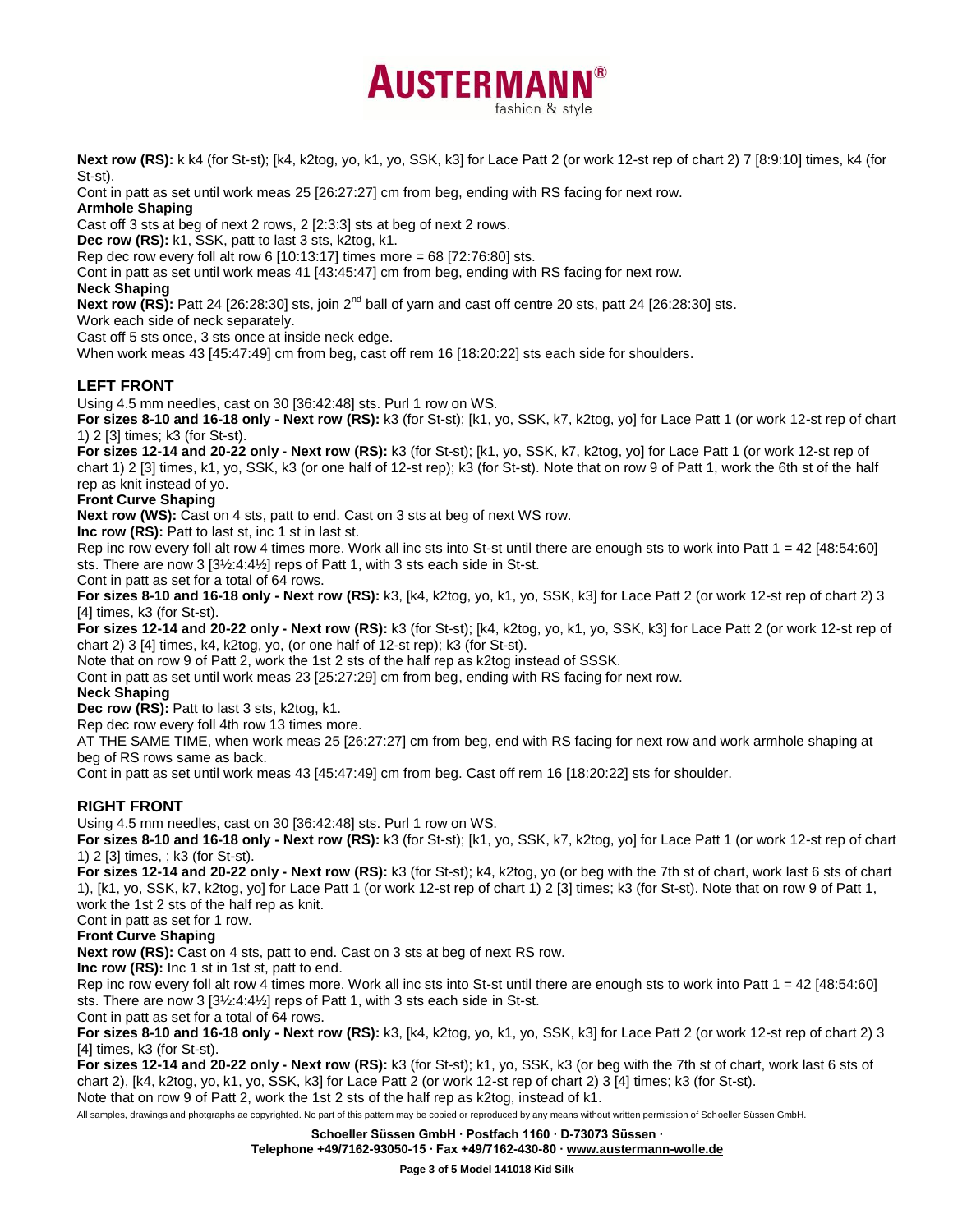

**Next row (RS):** k k4 (for St-st); [k4, k2tog, yo, k1, yo, SSK, k3] for Lace Patt 2 (or work 12-st rep of chart 2) 7 [8:9:10] times, k4 (for St-st).

Cont in patt as set until work meas 25 [26:27:27] cm from beg, ending with RS facing for next row.

## **Armhole Shaping**

Cast off 3 sts at beg of next 2 rows, 2 [2:3:3] sts at beg of next 2 rows.

**Dec row (RS):** k1, SSK, patt to last 3 sts, k2tog, k1.

Rep dec row every foll alt row 6 [10:13:17] times more = 68 [72:76:80] sts.

Cont in patt as set until work meas 41 [43:45:47] cm from beg, ending with RS facing for next row.

## **Neck Shaping**

**Next row (RS):** Patt 24 [26:28:30] sts, join 2<sup>nd</sup> ball of yarn and cast off centre 20 sts, patt 24 [26:28:30] sts.

Work each side of neck separately.

Cast off 5 sts once, 3 sts once at inside neck edge.

When work meas 43 [45:47:49] cm from beg, cast off rem 16 [18:20:22] sts each side for shoulders.

# **LEFT FRONT**

Using 4.5 mm needles, cast on 30 [36:42:48] sts. Purl 1 row on WS.

**For sizes 8-10 and 16-18 only - Next row (RS):** k3 (for St-st); [k1, yo, SSK, k7, k2tog, yo] for Lace Patt 1 (or work 12-st rep of chart 1) 2 [3] times; k3 (for St-st).

**For sizes 12-14 and 20-22 only - Next row (RS):** k3 (for St-st); [k1, yo, SSK, k7, k2tog, yo] for Lace Patt 1 (or work 12-st rep of chart 1) 2 [3] times, k1, yo, SSK, k3 (or one half of 12-st rep); k3 (for St-st). Note that on row 9 of Patt 1, work the 6th st of the half rep as knit instead of yo.

## **Front Curve Shaping**

**Next row (WS):** Cast on 4 sts, patt to end. Cast on 3 sts at beg of next WS row.

**Inc row (RS):** Patt to last st, inc 1 st in last st.

Rep inc row every foll alt row 4 times more. Work all inc sts into St-st until there are enough sts to work into Patt 1 = 42 [48:54:60] sts. There are now 3 [3½:4:4½] reps of Patt 1, with 3 sts each side in St-st.

Cont in patt as set for a total of 64 rows.

**For sizes 8-10 and 16-18 only - Next row (RS):** k3, [k4, k2tog, yo, k1, yo, SSK, k3] for Lace Patt 2 (or work 12-st rep of chart 2) 3 [4] times, k3 (for St-st).

**For sizes 12-14 and 20-22 only - Next row (RS):** k3 (for St-st); [k4, k2tog, yo, k1, yo, SSK, k3] for Lace Patt 2 (or work 12-st rep of chart 2) 3 [4] times, k4, k2tog, yo, (or one half of 12-st rep); k3 (for St-st).

Note that on row 9 of Patt 2, work the 1st 2 sts of the half rep as k2tog instead of SSSK.

Cont in patt as set until work meas 23 [25:27:29] cm from beg, ending with RS facing for next row.

## **Neck Shaping**

**Dec row (RS):** Patt to last 3 sts, k2tog, k1.

Rep dec row every foll 4th row 13 times more.

AT THE SAME TIME, when work meas 25 [26:27:27] cm from beg, end with RS facing for next row and work armhole shaping at beg of RS rows same as back.

Cont in patt as set until work meas 43 [45:47:49] cm from beg. Cast off rem 16 [18:20:22] sts for shoulder.

# **RIGHT FRONT**

Using 4.5 mm needles, cast on 30 [36:42:48] sts. Purl 1 row on WS.

**For sizes 8-10 and 16-18 only - Next row (RS):** k3 (for St-st); [k1, yo, SSK, k7, k2tog, yo] for Lace Patt 1 (or work 12-st rep of chart 1) 2 [3] times, ; k3 (for St-st).

**For sizes 12-14 and 20-22 only - Next row (RS):** k3 (for St-st); k4, k2tog, yo (or beg with the 7th st of chart, work last 6 sts of chart 1), [k1, yo, SSK, k7, k2tog, yo] for Lace Patt 1 (or work 12-st rep of chart 1) 2 [3] times; k3 (for St-st). Note that on row 9 of Patt 1, work the 1st 2 sts of the half rep as knit.

Cont in patt as set for 1 row.

# **Front Curve Shaping**

**Next row (RS):** Cast on 4 sts, patt to end. Cast on 3 sts at beg of next RS row.

**Inc row (RS):** Inc 1 st in 1st st, patt to end.

Rep inc row every foll alt row 4 times more. Work all inc sts into St-st until there are enough sts to work into Patt  $1 = 42$  [48:54:60] sts. There are now 3 [3½:4:4½] reps of Patt 1, with 3 sts each side in St-st.

Cont in patt as set for a total of 64 rows.

**For sizes 8-10 and 16-18 only - Next row (RS):** k3, [k4, k2tog, yo, k1, yo, SSK, k3] for Lace Patt 2 (or work 12-st rep of chart 2) 3 [4] times, k3 (for St-st).

**For sizes 12-14 and 20-22 only - Next row (RS):** k3 (for St-st); k1, yo, SSK, k3 (or beg with the 7th st of chart, work last 6 sts of chart 2), [k4, k2tog, yo, k1, yo, SSK, k3] for Lace Patt 2 (or work 12-st rep of chart 2) 3 [4] times; k3 (for St-st). Note that on row 9 of Patt 2, work the 1st 2 sts of the half rep as k2tog, instead of k1.

All samples, drawings and photgraphs ae copyrighted. No part of this pattern may be copied or reproduced by any means without written permission of Schoeller Süssen GmbH.

**Schoeller Süssen GmbH ∙ Postfach 1160 ∙ D-73073 Süssen ∙**

**Telephone +49/7162-93050-15 ∙ Fax +49/7162-430-80 [∙ www.austermann-wolle.de](http://www.austermann-wolle.de/)**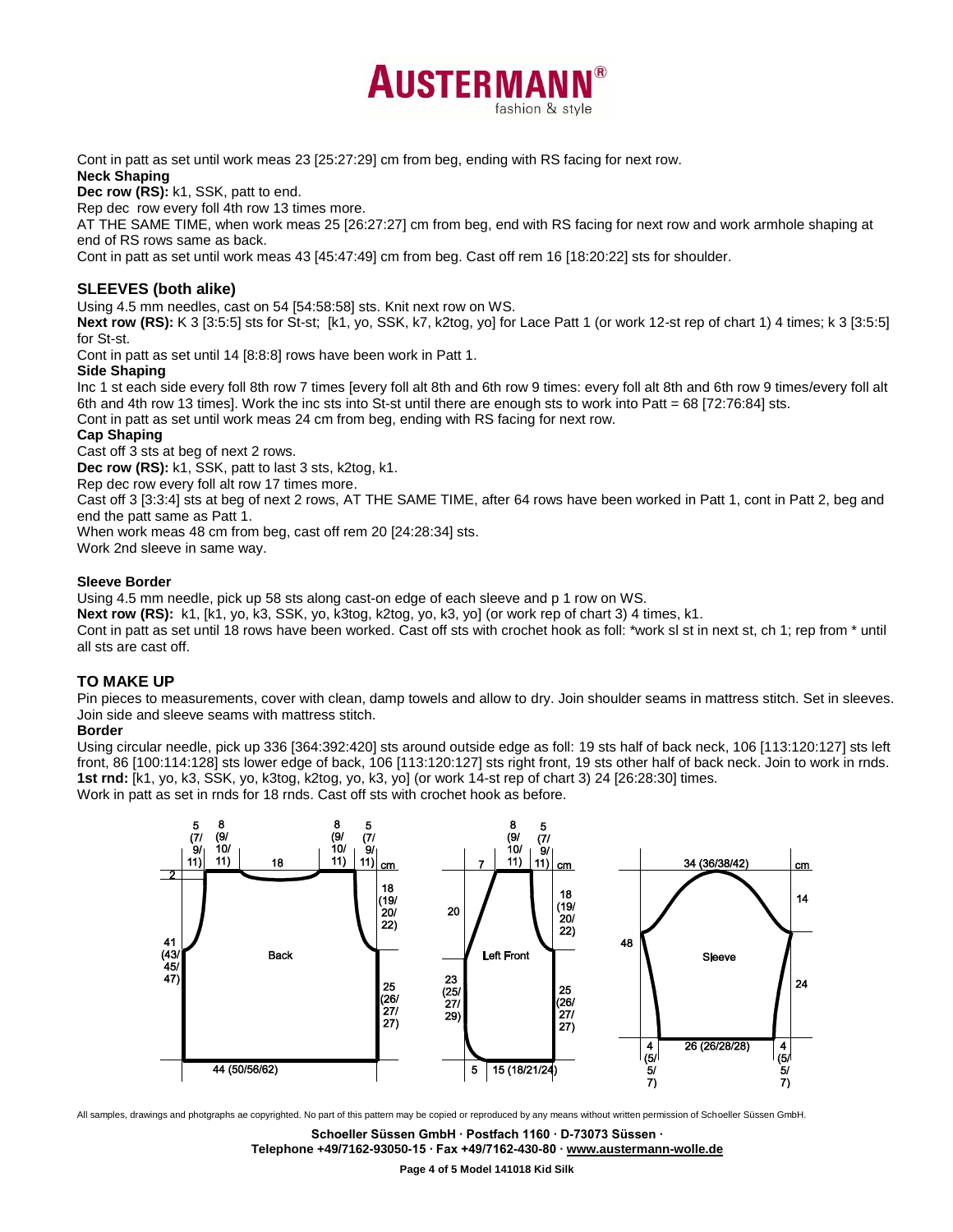Cont in patt as set until work meas 23 [25:27:29] cm from beg, ending with RS facing for next row. **Neck Shaping**

**Dec row (RS):** k1, SSK, patt to end.

Rep dec row every foll 4th row 13 times more.

AT THE SAME TIME, when work meas 25 [26:27:27] cm from beg, end with RS facing for next row and work armhole shaping at end of RS rows same as back.

**AUSTERMAN** 

fashion & style

Cont in patt as set until work meas 43 [45:47:49] cm from beg. Cast off rem 16 [18:20:22] sts for shoulder.

### **SLEEVES (both alike)**

Using 4.5 mm needles, cast on 54 [54:58:58] sts. Knit next row on WS.

**Next row (RS):** K 3 [3:5:5] sts for St-st; [k1, yo, SSK, k7, k2tog, yo] for Lace Patt 1 (or work 12-st rep of chart 1) 4 times; k 3 [3:5:5] for St-st.

Cont in patt as set until 14 [8:8:8] rows have been work in Patt 1.

#### **Side Shaping**

Inc 1 st each side every foll 8th row 7 times [every foll alt 8th and 6th row 9 times: every foll alt 8th and 6th row 9 times/every foll alt 6th and 4th row 13 times]. Work the inc sts into St-st until there are enough sts to work into Patt = 68 [72:76:84] sts.

Cont in patt as set until work meas 24 cm from beg, ending with RS facing for next row.

**Cap Shaping**

Cast off 3 sts at beg of next 2 rows.

**Dec row (RS):** k1, SSK, patt to last 3 sts, k2tog, k1.

Rep dec row every foll alt row 17 times more.

Cast off 3 [3:3:4] sts at beg of next 2 rows, AT THE SAME TIME, after 64 rows have been worked in Patt 1, cont in Patt 2, beg and end the patt same as Patt 1.

When work meas 48 cm from beg, cast off rem 20 [24:28:34] sts.

Work 2nd sleeve in same way.

#### **Sleeve Border**

Using 4.5 mm needle, pick up 58 sts along cast-on edge of each sleeve and p 1 row on WS.

**Next row (RS):** k1, [k1, yo, k3, SSK, yo, k3tog, k2tog, yo, k3, yo] (or work rep of chart 3) 4 times, k1.

Cont in patt as set until 18 rows have been worked. Cast off sts with crochet hook as foll: \*work sl st in next st, ch 1; rep from \* until all sts are cast off.

## **TO MAKE UP**

Pin pieces to measurements, cover with clean, damp towels and allow to dry. Join shoulder seams in mattress stitch. Set in sleeves. Join side and sleeve seams with mattress stitch.

#### **Border**

Using circular needle, pick up 336 [364:392:420] sts around outside edge as foll: 19 sts half of back neck, 106 [113:120:127] sts left front, 86 [100:114:128] sts lower edge of back, 106 [113:120:127] sts right front, 19 sts other half of back neck. Join to work in rnds. **1st rnd:** [k1, yo, k3, SSK, yo, k3tog, k2tog, yo, k3, yo] (or work 14-st rep of chart 3) 24 [26:28:30] times.

Work in patt as set in rnds for 18 rnds. Cast off sts with crochet hook as before.



All samples, drawings and photgraphs ae copyrighted. No part of this pattern may be copied or reproduced by any means without written permission of Schoeller Süssen GmbH.

**Schoeller Süssen GmbH ∙ Postfach 1160 ∙ D-73073 Süssen ∙**

**Telephone +49/7162-93050-15 ∙ Fax +49/7162-430-80 [∙ www.austermann-wolle.de](http://www.austermann-wolle.de/)**

**Page 4 of 5 Model 141018 Kid Silk**